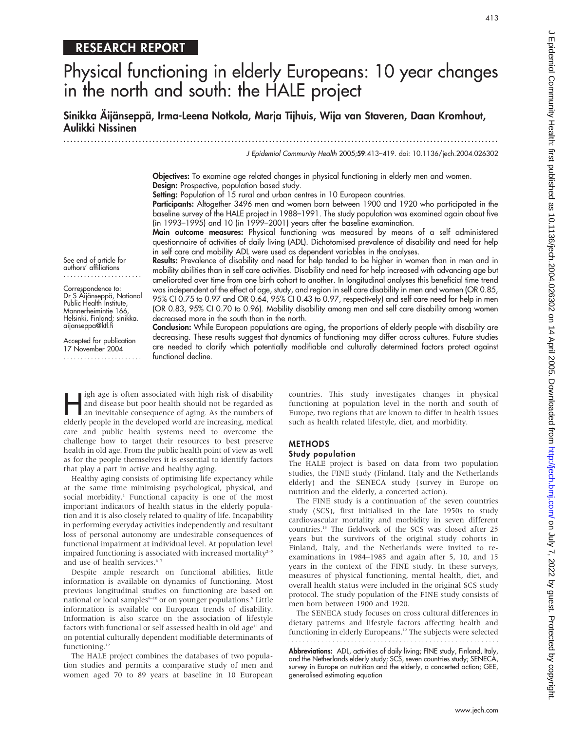## RESEARCH REPORT

# Physical functioning in elderly Europeans: 10 year changes in the north and south: the HALE project

Sinikka Äijänseppä, Irma-Leena Notkola, Marja Tijhuis, Wija van Staveren, Daan Kromhout, Aulikki Nissinen

............................................................................................................................... J Epidemiol Community Health 2005;59:413–419. doi: 10.1136/jech.2004.026302

> Objectives: To examine age related changes in physical functioning in elderly men and women. Design: Prospective, population based study.

Setting: Population of 15 rural and urban centres in 10 European countries.

Participants: Altogether 3496 men and women born between 1900 and 1920 who participated in the baseline survey of the HALE project in 1988–1991. The study population was examined again about five (in 1993–1995) and 10 (in 1999–2001) years after the baseline examination.

Main outcome measures: Physical functioning was measured by means of a self administered questionnaire of activities of daily living (ADL). Dichotomised prevalence of disability and need for help in self care and mobility ADL were used as dependent variables in the analyses.

See end of article for authors' affiliations .......................

Correspondence to: Dr S Äijänseppä, National Public Health Institute, Mannerheimintie 166, Helsinki, Finland; sinikka. aijanseppa@ktl.fi

Accepted for publication 17 November 2004

Results: Prevalence of disability and need for help tended to be higher in women than in men and in mobility abilities than in self care activities. Disability and need for help increased with advancing age but ameliorated over time from one birth cohort to another. In longitudinal analyses this beneficial time trend was independent of the effect of age, study, and region in self care disability in men and women (OR 0.85, 95% CI 0.75 to 0.97 and OR 0.64, 95% CI 0.43 to 0.97, respectively) and self care need for help in men (OR 0.83, 95% CI 0.70 to 0.96). Mobility disability among men and self care disability among women decreased more in the south than in the north.

Conclusion: While European populations are aging, the proportions of elderly people with disability are decreasing. These results suggest that dynamics of functioning may differ across cultures. Future studies are needed to clarify which potentially modifiable and culturally determined factors protect against functional decline.

**Hends** age is often associated with high risk of disability and disease but poor health should not be regarded as an inevitable consequence of aging. As the numbers of allowing properties the developed very increasing mod and disease but poor health should not be regarded as elderly people in the developed world are increasing, medical care and public health systems need to overcome the challenge how to target their resources to best preserve health in old age. From the public health point of view as well as for the people themselves it is essential to identify factors that play a part in active and healthy aging.

Healthy aging consists of optimising life expectancy while at the same time minimising psychological, physical, and social morbidity.<sup>1</sup> Functional capacity is one of the most important indicators of health status in the elderly population and it is also closely related to quality of life. Incapability in performing everyday activities independently and resultant loss of personal autonomy are undesirable consequences of functional impairment at individual level. At population level impaired functioning is associated with increased mortality $2-5$ and use of health services.<sup>67</sup>

Despite ample research on functional abilities, little information is available on dynamics of functioning. Most previous longitudinal studies on functioning are based on national or local samples<sup>8-10</sup> or on younger populations.<sup>9</sup> Little information is available on European trends of disability. Information is also scarce on the association of lifestyle factors with functional or self assessed health in old age<sup>11</sup> and on potential culturally dependent modifiable determinants of functioning.<sup>12</sup>

The HALE project combines the databases of two population studies and permits a comparative study of men and women aged 70 to 89 years at baseline in 10 European countries. This study investigates changes in physical functioning at population level in the north and south of Europe, two regions that are known to differ in health issues such as health related lifestyle, diet, and morbidity.

## **METHODS**

## Study population

The HALE project is based on data from two population studies, the FINE study (Finland, Italy and the Netherlands elderly) and the SENECA study (survey in Europe on nutrition and the elderly, a concerted action).

The FINE study is a continuation of the seven countries study (SCS), first initialised in the late 1950s to study cardiovascular mortality and morbidity in seven different countries.13 The fieldwork of the SCS was closed after 25 years but the survivors of the original study cohorts in Finland, Italy, and the Netherlands were invited to reexaminations in 1984–1985 and again after 5, 10, and 15 years in the context of the FINE study. In these surveys, measures of physical functioning, mental health, diet, and overall health status were included in the original SCS study protocol. The study population of the FINE study consists of men born between 1900 and 1920.

The SENECA study focuses on cross cultural differences in dietary patterns and lifestyle factors affecting health and functioning in elderly Europeans.<sup>12</sup> The subjects were selected

Abbreviations: ADL, activities of daily living; FINE study, Finland, Italy, and the Netherlands elderly study; SCS, seven countries study; SENECA, survey in Europe on nutrition and the elderly, a concerted action; GEE, generalised estimating equation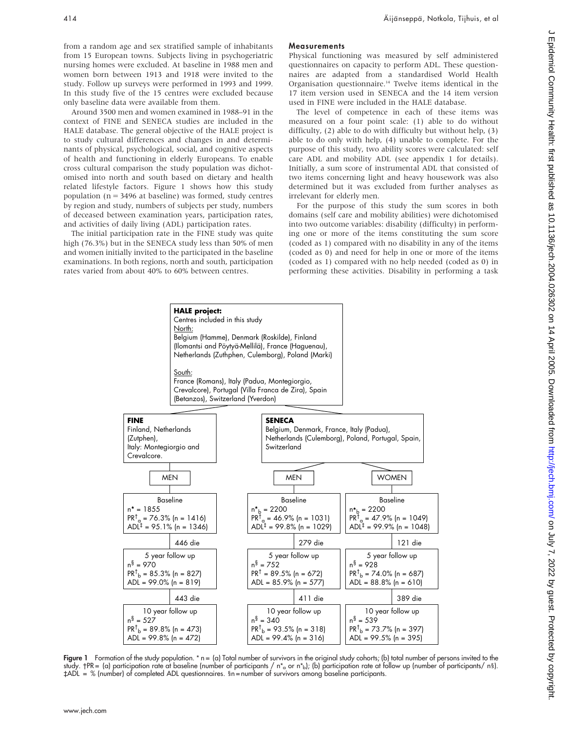from a random age and sex stratified sample of inhabitants from 15 European towns. Subjects living in psychogeriatric nursing homes were excluded. At baseline in 1988 men and women born between 1913 and 1918 were invited to the study. Follow up surveys were performed in 1993 and 1999. In this study five of the 15 centres were excluded because only baseline data were available from them.

Around 3500 men and women examined in 1988–91 in the context of FINE and SENECA studies are included in the HALE database. The general objective of the HALE project is to study cultural differences and changes in and determinants of physical, psychological, social, and cognitive aspects of health and functioning in elderly Europeans. To enable cross cultural comparison the study population was dichotomised into north and south based on dietary and health related lifestyle factors. Figure 1 shows how this study population ( $n = 3496$  at baseline) was formed, study centres by region and study, numbers of subjects per study, numbers of deceased between examination years, participation rates, and activities of daily living (ADL) participation rates.

The initial participation rate in the FINE study was quite high (76.3%) but in the SENECA study less than 50% of men and women initially invited to the participated in the baseline examinations. In both regions, north and south, participation rates varied from about 40% to 60% between centres.

## Measurements

Physical functioning was measured by self administered questionnaires on capacity to perform ADL. These questionnaires are adapted from a standardised World Health Organisation questionnaire.14 Twelve items identical in the 17 item version used in SENECA and the 14 item version used in FINE were included in the HALE database.

The level of competence in each of these items was measured on a four point scale: (1) able to do without difficulty, (2) able to do with difficulty but without help, (3) able to do only with help, (4) unable to complete. For the purpose of this study, two ability scores were calculated: self care ADL and mobility ADL (see appendix 1 for details). Initially, a sum score of instrumental ADL that consisted of two items concerning light and heavy housework was also determined but it was excluded from further analyses as irrelevant for elderly men.

For the purpose of this study the sum scores in both domains (self care and mobility abilities) were dichotomised into two outcome variables: disability (difficulty) in performing one or more of the items constituting the sum score (coded as 1) compared with no disability in any of the items (coded as 0) and need for help in one or more of the items (coded as 1) compared with no help needed (coded as 0) in performing these activities. Disability in performing a task



Figure 1 Formation of the study population. \* n = (a) Total number of survivors in the original study cohorts; (b) total number of persons invited to the study.  $\text{TPR} =$  (a) participation rate at baseline (number of participants / n<sup>\*</sup><sub>a</sub> or n<sup>\*</sup>b); (b) participation rate at follow up (number of participants/ n§).  $\text{\tt \#ADL} = \%$  (number) of completed ADL questionnaires.  $\text{\tt\$n = number of survives among baseline participants.}$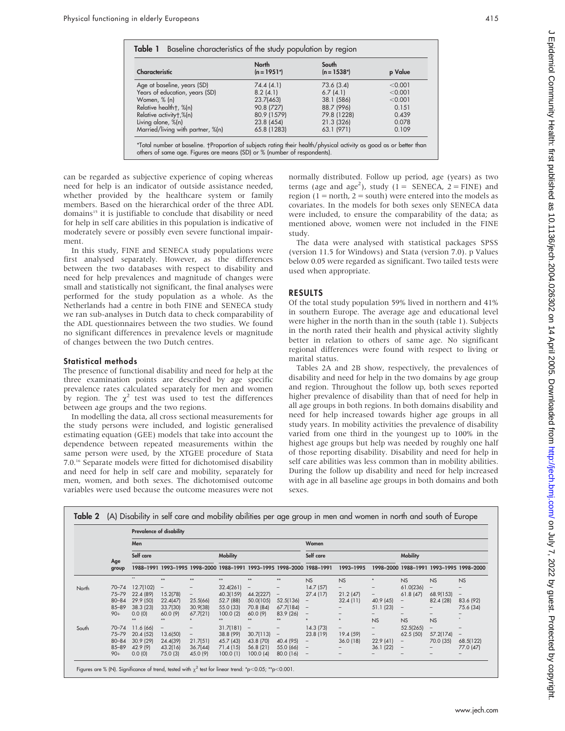|                                   | <b>North</b>  | South         |         |  |
|-----------------------------------|---------------|---------------|---------|--|
| Characteristic                    | $(n = 1951*)$ | $(n = 1538*)$ | p Value |  |
| Age at baseline, years (SD)       | 74.4(4.1)     | 73.6(3.4)     | < 0.001 |  |
| Years of education, years (SD)    | 8.2(4.1)      | 6.7(4.1)      | < 0.001 |  |
| Women, $% (n)$                    | 23.7(463)     | 38.1 (586)    | < 0.001 |  |
| Relative health†, %(n)            | 90.8 (727)    | 88.7 (996)    | 0.151   |  |
| Relative activity†,%(n)           | 80.9 (1579)   | 79.8 (1228)   | 0.439   |  |
| Living alone, %(n)                | 23.8 (454)    | 21.3 (326)    | 0.078   |  |
| Married/living with partner, %(n) | 65.8 (1283)   | 63.1 (971)    | 0.109   |  |

others of same age. Figures are means (SD) or % (number of respondents).

can be regarded as subjective experience of coping whereas need for help is an indicator of outside assistance needed, whether provided by the healthcare system or family members. Based on the hierarchical order of the three ADL domains<sup>15</sup> it is justifiable to conclude that disability or need for help in self care abilities in this population is indicative of moderately severe or possibly even severe functional impairment.

In this study, FINE and SENECA study populations were first analysed separately. However, as the differences between the two databases with respect to disability and need for help prevalences and magnitude of changes were small and statistically not significant, the final analyses were performed for the study population as a whole. As the Netherlands had a centre in both FINE and SENECA study we ran sub-analyses in Dutch data to check comparability of the ADL questionnaires between the two studies. We found no significant differences in prevalence levels or magnitude of changes between the two Dutch centres.

#### Statistical methods

The presence of functional disability and need for help at the three examination points are described by age specific prevalence rates calculated separately for men and women by region. The  $\chi^2$  test was used to test the differences between age groups and the two regions.

In modelling the data, all cross sectional measurements for the study persons were included, and logistic generalised estimating equation (GEE) models that take into account the dependence between repeated measurements within the same person were used, by the XTGEE procedure of Stata 7.0.16 Separate models were fitted for dichotomised disability and need for help in self care and mobility, separately for men, women, and both sexes. The dichotomised outcome variables were used because the outcome measures were not

normally distributed. Follow up period, age (years) as two terms (age and age<sup>2</sup>), study ( $1 =$  SENECA,  $2 =$  FINE) and region ( $1 =$  north,  $2 =$  south) were entered into the models as covariates. In the models for both sexes only SENECA data were included, to ensure the comparability of the data; as mentioned above, women were not included in the FINE study.

The data were analysed with statistical packages SPSS (version 11.5 for Windows) and Stata (version 7.0). p Values below 0.05 were regarded as significant. Two tailed tests were used when appropriate.

## RESULTS

Of the total study population 59% lived in northern and 41% in southern Europe. The average age and educational level were higher in the north than in the south (table 1). Subjects in the north rated their health and physical activity slightly better in relation to others of same age. No significant regional differences were found with respect to living or marital status.

Tables 2A and 2B show, respectively, the prevalences of disability and need for help in the two domains by age group and region. Throughout the follow up, both sexes reported higher prevalence of disability than that of need for help in all age groups in both regions. In both domains disability and need for help increased towards higher age groups in all study years. In mobility activities the prevalence of disability varied from one third in the youngest up to 100% in the highest age groups but help was needed by roughly one half of those reporting disability. Disability and need for help in self care abilities was less common than in mobility abilities. During the follow up disability and need for help increased with age in all baseline age groups in both domains and both sexes.

|       |              | Prevalence of disability |                                                                       |                   |                 |                   |                   |                          |           |           |                          |                                         |                   |  |
|-------|--------------|--------------------------|-----------------------------------------------------------------------|-------------------|-----------------|-------------------|-------------------|--------------------------|-----------|-----------|--------------------------|-----------------------------------------|-------------------|--|
|       |              | Men                      |                                                                       |                   |                 |                   |                   | Women                    |           |           |                          |                                         |                   |  |
|       |              | Self care                |                                                                       |                   | <b>Mobility</b> |                   |                   | Self care                |           |           | <b>Mobility</b>          |                                         |                   |  |
|       | Age<br>group |                          | 1988-1991 1993-1995 1998-2000 1988-1991 1993-1995 1998-2000 1988-1991 |                   |                 |                   |                   |                          | 1993-1995 |           |                          | 1998-2000 1988-1991 1993-1995 1998-2000 |                   |  |
|       |              | $**$                     | $**$                                                                  | $**$              | $**$            | **                | **                | <b>NS</b>                | NS        |           | <b>NS</b>                | <b>NS</b>                               | <b>NS</b>         |  |
| North | $70 - 74$    | 12.7(102)                |                                                                       |                   | 32.4(261)       | $\qquad \qquad -$ |                   | 14.7(57)                 | -         |           | 61.0(236)                | $\overline{\phantom{0}}$                |                   |  |
|       | $75 - 79$    | 22.4 (89)                | 15.2(78)                                                              | $\qquad \qquad -$ | 40.3(159)       | 44.2(227)         | $\qquad \qquad -$ | 27.4(17)                 | 21.2(47)  | -         | 61.8(47)                 | 68.9(153)                               | $\qquad \qquad -$ |  |
|       | $80 - 84$    | 29.9 (50)                | 22.4(47)                                                              | 25.5(66)          | 52.7 (88)       | 50.0(105)         | 52.5(136)         | $\overline{\phantom{0}}$ | 32.4(11)  | 40.9 (45) |                          | 82.4 (28)                               | 83.6 (92)         |  |
|       | $85 - 89$    | 38.3(23)                 | 33.7(30)                                                              | 30.9(38)          | 55.0 (33)       | 70.8 (84)         | 67.7(184)         | $\overline{\phantom{m}}$ |           | 51.1(23)  | $\overline{\phantom{a}}$ |                                         | 75.6 (34)         |  |
|       | $90+$        | 0.0(0)                   | 60.0(9)                                                               | 67.7(21)          | 100.0(2)        | 60.0(9)           | 83.9 (26)         | $\overline{\phantom{a}}$ |           |           |                          |                                         |                   |  |
|       |              | **                       | **                                                                    |                   | $**$            | **                | $**$              |                          | $\star$   | <b>NS</b> | <b>NS</b>                | <b>NS</b>                               |                   |  |
| South | $70 - 74$    | 11.6(66)                 |                                                                       |                   | 31.7(181)       | $\qquad \qquad -$ |                   | 14.3(73)                 | -         |           | 52.5(265)                | $\overline{\phantom{0}}$                |                   |  |
|       | $75 - 79$    | 20.4(52)                 | 13.6(50)                                                              | $\qquad \qquad -$ | 38.8 (99)       | 30.7(113)         | $\qquad \qquad -$ | 23.8 (19)                | 19.4 (59) | -         | 62.5(50)                 | 57.2(174)                               | -                 |  |
|       | $80 - 84$    | 30.9 (29)                | 24.4(39)                                                              | 21.7(51)          | 45.7 (43)       | 43.8 (70)         | 40.4 (95)         | $\qquad \qquad -$        | 36.0(18)  | 22.9(41)  | $\overline{\phantom{0}}$ | 70.0 (35)                               | 68.5(122)         |  |
|       | $85 - 89$    | 42.9 (9)                 | 43.2(16)                                                              | 36.7(44)          | 71.4(15)        | 56.8 (21)         | 55.0 (66)         | $\overline{\phantom{a}}$ |           | 36.1(22)  | $\qquad \qquad -$        |                                         | 77.0 (47)         |  |
|       | $90+$        | 0.0(0)                   | 75.0(3)                                                               | 45.0 (9)          | 100.0(1)        | 100.0(4)          | 80.0 (16)         | $\overline{\phantom{m}}$ |           |           |                          |                                         |                   |  |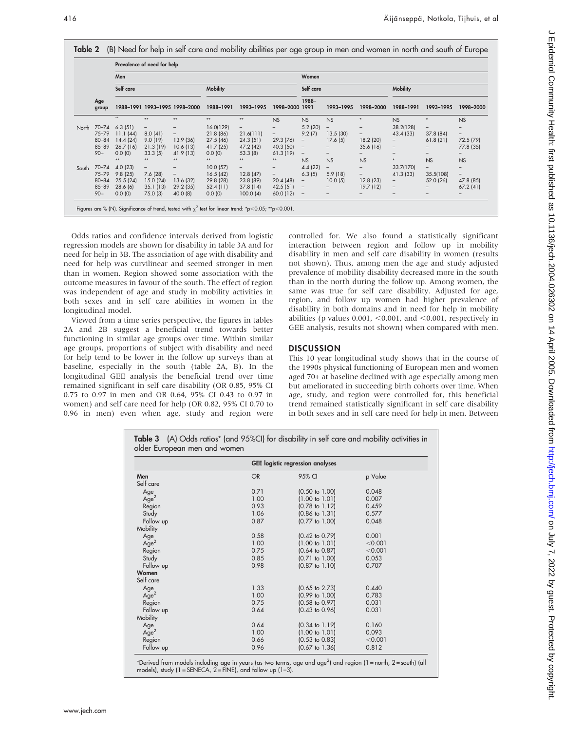|       |              |           | Prevalence of need for help   |                          |                 |                   |                   |                          |                          |                          |                          |                          |                          |
|-------|--------------|-----------|-------------------------------|--------------------------|-----------------|-------------------|-------------------|--------------------------|--------------------------|--------------------------|--------------------------|--------------------------|--------------------------|
|       |              | Men       |                               |                          |                 |                   |                   | Women                    |                          |                          |                          |                          |                          |
|       |              | Self care |                               |                          | <b>Mobility</b> |                   |                   | Self care                |                          |                          | <b>Mobility</b>          |                          |                          |
|       | Age<br>group |           | 1988-1991 1993-1995 1998-2000 |                          | 1988-1991       | 1993-1995         | 1998-2000         | 1988-<br>1991            | 1993-1995                | 1998-2000                | 1988-1991                | 1993-1995                | 1998-2000                |
|       |              | **        | $**$                          | $**$                     | $**$            | **                | NS                | <b>NS</b>                | <b>NS</b>                |                          | <b>NS</b>                |                          | NS                       |
| North | $70 - 74$    | 6.3(51)   | -                             |                          | 16.0(129)       | $\qquad \qquad -$ | $\qquad \qquad -$ | 5.2(20)                  | $\qquad \qquad -$        |                          | 38.2(128)                | $\qquad \qquad -$        | $\overline{\phantom{0}}$ |
|       | $75 - 79$    | 11.1(44)  | 8.0(41)                       | $\overline{\phantom{0}}$ | 21.8 (86)       | 21.6(111)         | $\qquad \qquad -$ | 9.2(7)                   | 13.5(30)                 | $\overline{\phantom{0}}$ | 43.4 (33)                | 37.8 (84)                | $\overline{\phantom{0}}$ |
|       | $80 - 84$    | 14.4(24)  | 9.0(19)                       | 13.9(36)                 | 27.5(46)        | 24.3(51)          | 29.3(76)          | $\overline{\phantom{m}}$ | 17.6(5)                  | 18.2(20)                 | -                        | 61.8(21)                 | 72.5 (79)                |
|       | $85 - 89$    | 26.7(16)  | 21.3(19)                      | 10.6(13)                 | 41.7 (25)       | 47.2 (42)         | 40.3 (50)         | $\qquad \qquad -$        |                          | 35.6(16)                 | $\overline{\phantom{m}}$ |                          | 77.8 (35)                |
|       | $90+$        | 0.0(0)    | 33.3(5)                       | 41.9 (13)                | 0.0(0)          | 53.3(8)           | 61.3(19)          | $\qquad \qquad -$        |                          |                          |                          |                          |                          |
|       |              |           | **                            | **                       | **              | **                | **                | <b>NS</b>                | <b>NS</b>                | <b>NS</b>                | $\star$                  | <b>NS</b>                | <b>NS</b>                |
| South | $70 - 74$    | 4.0(23)   |                               |                          | 10.0(57)        |                   | $\qquad \qquad -$ | 4.4(22)                  | $\overline{\phantom{0}}$ | $\qquad \qquad -$        | 33.7(170)                | $\overline{\phantom{0}}$ |                          |
|       | $75 - 79$    | 9.8(25)   | 7.6(28)                       | $\qquad \qquad -$        | 16.5(42)        | 12.8(47)          | $\qquad \qquad -$ | 6.3(5)                   | 5.9(18)                  |                          | 41.3 (33)                | 35.5(108)                | $\qquad \qquad -$        |
|       | $80 - 84$    | 25.5(24)  | 15.0(24)                      | 13.6 (32)                | 29.8 (28)       | 23.8 (89)         | 20.4(48)          | $\overline{\phantom{0}}$ | 10.0(5)                  | 12.8(23)                 | -                        | 52.0 (26)                | 47.8 (85)                |
|       | $85 - 89$    | 28.6(6)   | 35.1(13)                      | 29.2(35)                 | 52.4(11)        | 37.8(14)          | 42.5(51)          | $\overline{\phantom{m}}$ |                          | 19.7(12)                 | -                        |                          | 67.2(41)                 |
|       | $90+$        | 0.0(0)    | 75.0(3)                       | 40.0 (8)                 | 0.0(0)          | 100.0(4)          | 60.0(12)          | $\overline{\phantom{m}}$ |                          |                          |                          |                          |                          |

Odds ratios and confidence intervals derived from logistic regression models are shown for disability in table 3A and for need for help in 3B. The association of age with disability and need for help was curvilinear and seemed stronger in men than in women. Region showed some association with the outcome measures in favour of the south. The effect of region was independent of age and study in mobility activities in both sexes and in self care abilities in women in the longitudinal model.

Viewed from a time series perspective, the figures in tables 2A and 2B suggest a beneficial trend towards better functioning in similar age groups over time. Within similar age groups, proportions of subject with disability and need for help tend to be lower in the follow up surveys than at baseline, especially in the south (table 2A, B). In the longitudinal GEE analysis the beneficial trend over time remained significant in self care disability (OR 0.85, 95% CI 0.75 to 0.97 in men and OR 0.64, 95% CI 0.43 to 0.97 in women) and self care need for help (OR 0.82, 95% CI 0.70 to 0.96 in men) even when age, study and region were

controlled for. We also found a statistically significant interaction between region and follow up in mobility disability in men and self care disability in women (results not shown). Thus, among men the age and study adjusted prevalence of mobility disability decreased more in the south than in the north during the follow up. Among women, the same was true for self care disability. Adjusted for age, region, and follow up women had higher prevalence of disability in both domains and in need for help in mobility abilities (p values 0.001,  $<$  0.001, and  $<$  0.001, respectively in GEE analysis, results not shown) when compared with men.

## **DISCUSSION**

This 10 year longitudinal study shows that in the course of the 1990s physical functioning of European men and women aged 70+ at baseline declined with age especially among men but ameliorated in succeeding birth cohorts over time. When age, study, and region were controlled for, this beneficial trend remained statistically significant in self care disability in both sexes and in self care need for help in men. Between

|                  | <b>GEE</b> logistic regression analyses |                           |         |  |  |  |
|------------------|-----------------------------------------|---------------------------|---------|--|--|--|
| Men              | <b>OR</b>                               | 95% CI                    | p Value |  |  |  |
| Self care        |                                         |                           |         |  |  |  |
| Age              | 0.71                                    | $(0.50 \text{ to } 1.00)$ | 0.048   |  |  |  |
| Age <sup>2</sup> | 1.00                                    | $(1.00 \text{ to } 1.01)$ | 0.007   |  |  |  |
| Region           | 0.93                                    | $(0.78 \text{ to } 1.12)$ | 0.459   |  |  |  |
| Study            | 1.06                                    | $(0.86 \text{ to } 1.31)$ | 0.577   |  |  |  |
| Follow up        | 0.87                                    | $(0.77$ to $1.00$         | 0.048   |  |  |  |
| Mobility         |                                         |                           |         |  |  |  |
| Age              | 0.58                                    | $(0.42 \text{ to } 0.79)$ | 0.001   |  |  |  |
| Age <sup>2</sup> | 1.00                                    | $(1.00 \text{ to } 1.01)$ | < 0.001 |  |  |  |
| Region           | 0.75                                    | $(0.64 \text{ to } 0.87)$ | < 0.001 |  |  |  |
| Study            | 0.85                                    | $(0.71$ to $1.00$ )       | 0.053   |  |  |  |
| Follow up        | 0.98                                    | $(0.87 \text{ to } 1.10)$ | 0.707   |  |  |  |
| Women            |                                         |                           |         |  |  |  |
| Self care        |                                         |                           |         |  |  |  |
| Age              | 1.33                                    | $(0.65 \text{ to } 2.73)$ | 0.440   |  |  |  |
| Age <sup>2</sup> | 1.00                                    | $(0.99$ to $1.00)$        | 0.783   |  |  |  |
| Region           | 0.75                                    | $(0.58 \text{ to } 0.97)$ | 0.031   |  |  |  |
| Follow up        | 0.64                                    | $(0.43 \text{ to } 0.96)$ | 0.031   |  |  |  |
| Mobility         |                                         |                           |         |  |  |  |
| Age              | 0.64                                    | $(0.34 \text{ to } 1.19)$ | 0.160   |  |  |  |
| Age <sup>2</sup> | 1.00                                    | $(1.00 \text{ to } 1.01)$ | 0.093   |  |  |  |
| Region           | 0.66                                    | $(0.53$ to $0.83)$        | < 0.001 |  |  |  |
| Follow up        | 0.96                                    | $(0.67 \text{ to } 1.36)$ | 0.812   |  |  |  |

\*Derived from models including age in years (as two terms, age and age $^2$ ) and region (1 = north, 2 = south) (all models), study (1 = SENECA, 2 = FINE), and follow up (1–3).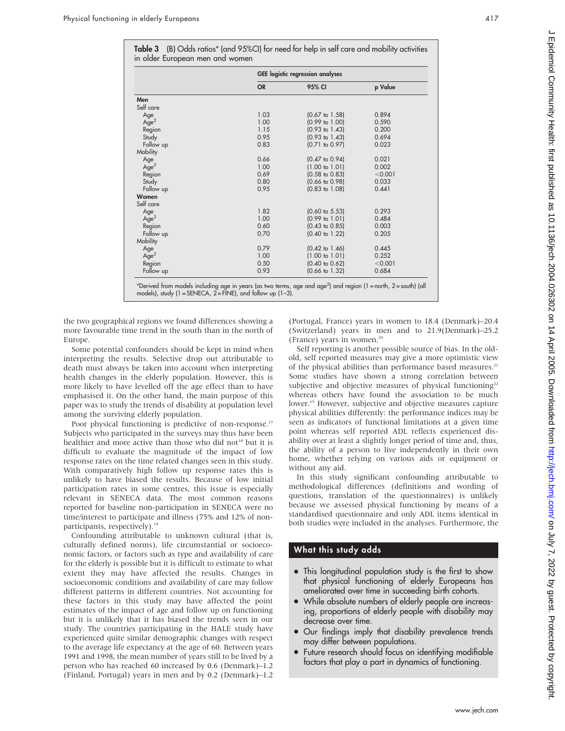Table 3 (B) Odds ratios\* (and 95%CI) for need for help in self care and mobility activities in older European men and women

|                  | GEE logistic regression analyses |                           |         |  |  |  |
|------------------|----------------------------------|---------------------------|---------|--|--|--|
|                  | <b>OR</b>                        | 95% CI                    | p Value |  |  |  |
| Men              |                                  |                           |         |  |  |  |
| Self care        |                                  |                           |         |  |  |  |
| Age              | 1.03                             | $(0.67 \text{ to } 1.58)$ | 0.894   |  |  |  |
| Age <sup>2</sup> | 1.00                             | $(0.99$ to $1.00$         | 0.590   |  |  |  |
| Region           | 1.15                             | $(0.93 \text{ to } 1.43)$ | 0.200   |  |  |  |
| Study            | 0.95                             | $(0.93$ to $1.43)$        | 0.694   |  |  |  |
| Follow up        | 0.83                             | $(0.71$ to $0.97)$        | 0.023   |  |  |  |
| Mobility         |                                  |                           |         |  |  |  |
| Age              | 0.66                             | $(0.47)$ to $0.94$        | 0.021   |  |  |  |
| Age <sup>2</sup> | 1.00                             | $(1.00 \text{ to } 1.01)$ | 0.002   |  |  |  |
| Region           | 0.69                             | $(0.58 \text{ to } 0.83)$ | < 0.001 |  |  |  |
| Study            | 0.80                             | $(0.66 \text{ to } 0.98)$ | 0.033   |  |  |  |
| Follow up        | 0.95                             | $(0.83$ to $1.08)$        | 0.441   |  |  |  |
| Women            |                                  |                           |         |  |  |  |
| Self care        |                                  |                           |         |  |  |  |
| Age              | 1.82                             | $(0.60 \text{ to } 5.53)$ | 0.293   |  |  |  |
| Age <sup>2</sup> | 1.00                             | $(0.99 \text{ to } 1.01)$ | 0.484   |  |  |  |
| Region           | 0.60                             | $(0.43 \text{ to } 0.85)$ | 0.003   |  |  |  |
| Follow up        | 0.70                             | $(0.40 \text{ to } 1.22)$ | 0.205   |  |  |  |
| Mobility         |                                  |                           |         |  |  |  |
| Age              | 0.79                             | $(0.42 \text{ to } 1.46)$ | 0.445   |  |  |  |
| Age <sup>2</sup> | 1.00                             | $(1.00 \text{ to } 1.01)$ | 0.252   |  |  |  |
| Region           | 0.50                             | $(0.40 \text{ to } 0.62)$ | < 0.001 |  |  |  |
| Follow up        | 0.93                             | $(0.66 \text{ to } 1.32)$ | 0.684   |  |  |  |

models), study (1 = SENECA, 2 = FINE), and follow up (1–3).

the two geographical regions we found differences showing a more favourable time trend in the south than in the north of Europe.

Some potential confounders should be kept in mind when interpreting the results. Selective drop out attributable to death must always be taken into account when interpreting health changes in the elderly population. However, this is more likely to have levelled off the age effect than to have emphasised it. On the other hand, the main purpose of this paper was to study the trends of disability at population level among the surviving elderly population.

Poor physical functioning is predictive of non-response.<sup>17</sup> Subjects who participated in the surveys may thus have been healthier and more active than those who did not<sup>18</sup> but it is difficult to evaluate the magnitude of the impact of low response rates on the time related changes seen in this study. With comparatively high follow up response rates this is unlikely to have biased the results. Because of low initial participation rates in some centres, this issue is especially relevant in SENECA data. The most common reasons reported for baseline non-participation in SENECA were no time/interest to participate and illness (75% and 12% of nonparticipants, respectively).<sup>19</sup>

Confounding attributable to unknown cultural (that is, culturally defined norms), life circumstantial or socioeconomic factors, or factors such as type and availability of care for the elderly is possible but it is difficult to estimate to what extent they may have affected the results. Changes in socioeconomic conditions and availability of care may follow different patterns in different countries. Not accounting for these factors in this study may have affected the point estimates of the impact of age and follow up on functioning but it is unlikely that it has biased the trends seen in our study. The countries participating in the HALE study have experienced quite similar demographic changes with respect to the average life expectancy at the age of 60. Between years 1991 and 1998, the mean number of years still to be lived by a person who has reached 60 increased by 0.6 (Denmark)–1.2 (Finland, Portugal) years in men and by 0.2 (Denmark)–1.2

(Portugal, France) years in women to 18.4 (Denmark)–20.4 (Switzerland) years in men and to 21.9(Denmark)–25.2 (France) years in women. $20$ 

Self reporting is another possible source of bias. In the oldold, self reported measures may give a more optimistic view of the physical abilities than performance based measures.<sup>21</sup> Some studies have shown a strong correlation between subjective and objective measures of physical functioning<sup>22</sup> whereas others have found the association to be much lower.<sup>15</sup> However, subjective and objective measures capture physical abilities differently: the performance indices may be seen as indicators of functional limitations at a given time point whereas self reported ADL reflects experienced disability over at least a slightly longer period of time and, thus, the ability of a person to live independently in their own home, whether relying on various aids or equipment or without any aid.

In this study significant confounding attributable to methodological differences (definitions and wording of questions, translation of the questionnaires) is unlikely because we assessed physical functioning by means of a standardised questionnaire and only ADL items identical in both studies were included in the analyses. Furthermore, the

## What this study adds

- This longitudinal population study is the first to show that physical functioning of elderly Europeans has ameliorated over time in succeeding birth cohorts.
- While absolute numbers of elderly people are increasing, proportions of elderly people with disability may decrease over time.
- Our findings imply that disability prevalence trends may differ between populations.
- Future research should focus on identifying modifiable factors that play a part in dynamics of functioning.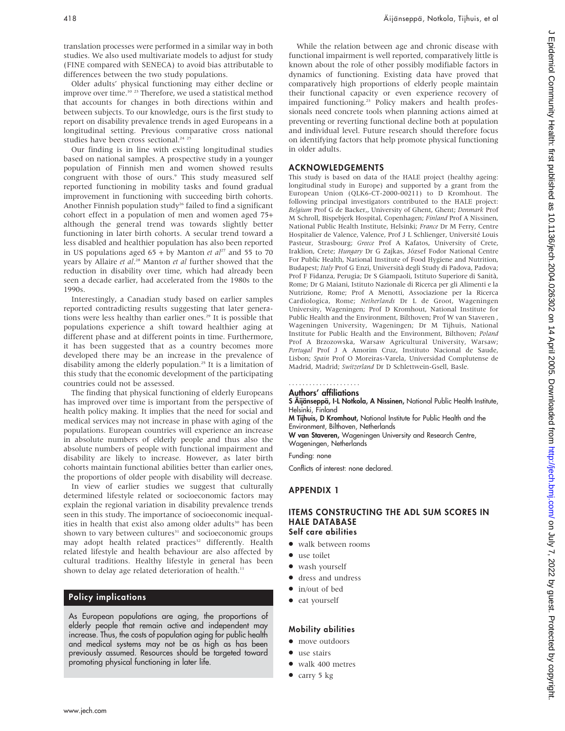translation processes were performed in a similar way in both studies. We also used multivariate models to adjust for study (FINE compared with SENECA) to avoid bias attributable to differences between the two study populations.

Older adults' physical functioning may either decline or improve over time.10 23 Therefore, we used a statistical method that accounts for changes in both directions within and between subjects. To our knowledge, ours is the first study to report on disability prevalence trends in aged Europeans in a longitudinal setting. Previous comparative cross national studies have been cross sectional.<sup>24 25</sup>

Our finding is in line with existing longitudinal studies based on national samples. A prospective study in a younger population of Finnish men and women showed results congruent with those of ours.<sup>9</sup> This study measured self reported functioning in mobility tasks and found gradual improvement in functioning with succeeding birth cohorts. Another Finnish population study<sup>26</sup> failed to find a significant cohort effect in a population of men and women aged 75+ although the general trend was towards slightly better functioning in later birth cohorts. A secular trend toward a less disabled and healthier population has also been reported in US populations aged  $65 + by$  Manton *et al*<sup>27</sup> and 55 to 70 years by Allaire et al.<sup>28</sup> Manton et al further showed that the reduction in disability over time, which had already been seen a decade earlier, had accelerated from the 1980s to the 1990s.

Interestingly, a Canadian study based on earlier samples reported contradicting results suggesting that later generations were less healthy than earlier ones.<sup>29</sup> It is possible that populations experience a shift toward healthier aging at different phase and at different points in time. Furthermore, it has been suggested that as a country becomes more developed there may be an increase in the prevalence of disability among the elderly population.<sup>25</sup> It is a limitation of this study that the economic development of the participating countries could not be assessed.

The finding that physical functioning of elderly Europeans has improved over time is important from the perspective of health policy making. It implies that the need for social and medical services may not increase in phase with aging of the populations. European countries will experience an increase in absolute numbers of elderly people and thus also the absolute numbers of people with functional impairment and disability are likely to increase. However, as later birth cohorts maintain functional abilities better than earlier ones, the proportions of older people with disability will decrease.

In view of earlier studies we suggest that culturally determined lifestyle related or socioeconomic factors may explain the regional variation in disability prevalence trends seen in this study. The importance of socioeconomic inequalities in health that exist also among older adults<sup>30</sup> has been shown to vary between cultures<sup>31</sup> and socioeconomic groups may adopt health related practices<sup>32</sup> differently. Health related lifestyle and health behaviour are also affected by cultural traditions. Healthy lifestyle in general has been shown to delay age related deterioration of health.<sup>11</sup>

## Policy implications

As European populations are aging, the proportions of elderly people that remain active and independent may increase. Thus, the costs of population aging for public health and medical systems may not be as high as has been previously assumed. Resources should be targeted toward promoting physical functioning in later life.

While the relation between age and chronic disease with functional impairment is well reported, comparatively little is known about the role of other possibly modifiable factors in dynamics of functioning. Existing data have proved that comparatively high proportions of elderly people maintain their functional capacity or even experience recovery of impaired functioning.<sup>23</sup> Policy makers and health professionals need concrete tools when planning actions aimed at preventing or reverting functional decline both at population and individual level. Future research should therefore focus on identifying factors that help promote physical functioning in older adults.

#### ACKNOWLEDGEMENTS

This study is based on data of the HALE project (healthy ageing: longitudinal study in Europe) and supported by a grant from the European Union (QLK6-CT-2000-00211) to D Kromhout. The following principal investigators contributed to the HALE project: Belgium Prof G de Backer,, University of Ghent, Ghent; Denmark Prof M Schroll, Bispebjerk Hospital, Copenhagen; Finland Prof A Nissinen, National Public Health Institute, Helsinki; France Dr M Ferry, Centre Hospitalier de Valence, Valence, Prof J L Schlienger, Université Louis Pasteur, Strasbourg; Greece Prof A Kafatos, University of Crete, Iraklion, Crete; Hungary Dr G Zajkas, József Fodor National Centre For Public Health, National Institute of Food Hygiene and Nutrition, Budapest; Italy Prof G Enzi, Università degli Study di Padova, Padova; Prof F Fidanza, Perugia; Dr S Giampaoli, Istituto Superiore di Sanità, Rome; Dr G Maiani, Istituto Nazionale di Ricerca per gli Alimenti e la Nutrizione, Rome; Prof A Menotti, Associazione per la Ricerca Cardiologica, Rome; Netherlands Dr L de Groot, Wageningen University, Wageningen; Prof D Kromhout, National Institute for Public Health and the Environment, Bilthoven; Prof W van Staveren , Wageningen University, Wageningen; Dr M Tijhuis, National Institute for Public Health and the Environment, Bilthoven; Poland Prof A Brzozowska, Warsaw Agricultural University, Warsaw; Portugal Prof J A Amorim Cruz, Instituto Nacional de Saude, Lisbon; Spain Prof O Moreiras-Varela, Universidad Complutense de Madrid, Madrid; Switzerland Dr D Schlettwein-Gsell, Basle.

#### Authors' affiliations .....................

S Äijänseppä, I-L Notkola, A Nissinen, National Public Health Institute, Helsinki, Finland

M Tijhuis, D Kromhout, National Institute for Public Health and the Environment, Bilthoven, Netherlands

W van Staveren, Wageningen University and Research Centre, Wageningen, Netherlands

Funding: none

Conflicts of interest: none declared.

#### APPENDIX 1

#### ITEMS CONSTRUCTING THE ADL SUM SCORES IN HALE DATABASE Self care abilities

- walk between rooms
- $\bullet$  use toilet
- $\bullet$  wash yourself
- dress and undress
- $\bullet$  in/out of bed
- eat yourself

#### Mobility abilities

- $\bullet$  move outdoors
- $\bullet$  use stairs
- $\bullet$  walk 400 metres
- $\bullet$  carry 5 kg